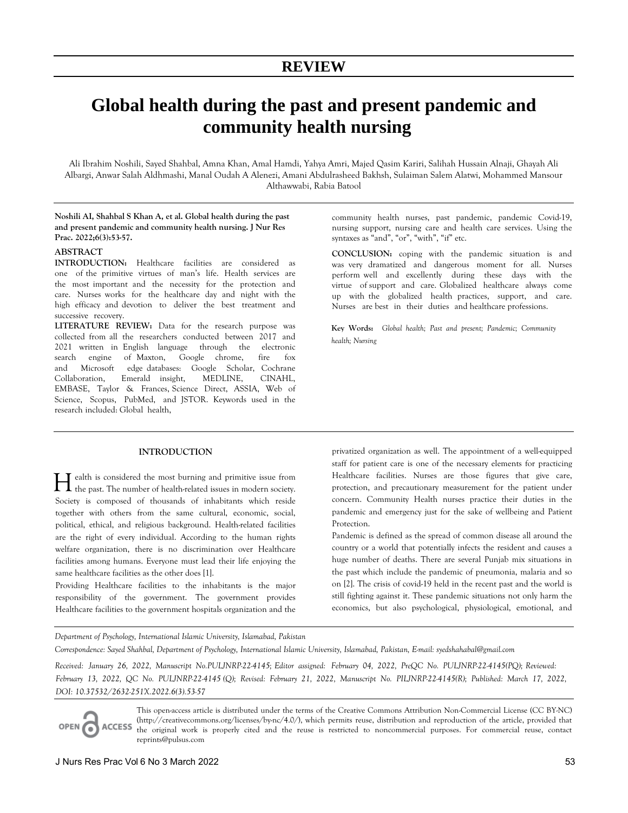# **Global health during the past and present pandemic and community health nursing**

Ali Ibrahim Noshili, Sayed Shahbal, Amna Khan, Amal Hamdi, Yahya Amri, Majed Qasim Kariri, Salihah Hussain Alnaji, Ghayah Ali Albargi, Anwar Salah Aldhmashi, Manal Oudah A Alenezi, Amani Abdulrasheed Bakhsh, Sulaiman Salem Alatwi, Mohammed Mansour Althawwabi, Rabia Batool

# **Noshili AI, Shahbal S Khan A, et al. Global health during the past and present pandemic and community health nursing. J Nur Res Prac. 2022;6(3):53-57.**

## **ABSTRACT**

**INTRODUCTION:** Healthcare facilities are considered as one of the primitive virtues of man's life. Health services are the most important and the necessity for the protection and care. Nurses works for the healthcare day and night with the high efficacy and devotion to deliver the best treatment and successive recovery.

**LITERATURE REVIEW:** Data for the research purpose was collected from all the researchers conducted between 2017 and 2021 written in English language through the electronic search engine of Maxton, Google chrome, fire fox and Microsoft edge databases: Google Scholar, Cochrane Collaboration, Emerald insight, MEDLINE, CINAHL, EMBASE, Taylor & Frances, Science Direct, ASSIA, Web of Science, Scopus, PubMed, and JSTOR. Keywords used in the research included: Global health,

community health nurses, past pandemic, pandemic Covid-19, nursing support, nursing care and health care services. Using the syntaxes as "and", "or", "with", "if" etc.

**CONCLUSION:** coping with the pandemic situation is and was very dramatized and dangerous moment for all. Nurses perform well and excellently during these days with the virtue of support and care. Globalized healthcare always come up with the globalized health practices, support, and care. Nurses are best in their duties and healthcare professions.

**Key Words:** *Global health; Past and present; Pandemic; Community health; Nursing*

# **INTRODUCTION**

ealth is considered the most burning and primitive issue from  $\prod$  ealth is considered the most burning and primitive issue from the past. The number of health-related issues in modern society. Society is composed of thousands of inhabitants which reside together with others from the same cultural, economic, social, political, ethical, and religious background. Health-related facilities are the right of every individual. According to the human rights welfare organization, there is no discrimination over Healthcare facilities among humans. Everyone must lead their life enjoying the same healthcare facilities as the other does [1].

Providing Healthcare facilities to the inhabitants is the major responsibility of the government. The government provides Healthcare facilities to the government hospitals organization and the

privatized organization as well. The appointment of a well-equipped staff for patient care is one of the necessary elements for practicing Healthcare facilities. Nurses are those figures that give care, protection, and precautionary measurement for the patient under concern. Community Health nurses practice their duties in the pandemic and emergency just for the sake of wellbeing and Patient Protection.

Pandemic is defined as the spread of common disease all around the country or a world that potentially infects the resident and causes a huge number of deaths. There are several Punjab mix situations in the past which include the pandemic of pneumonia, malaria and so on [2]. The crisis of covid-19 held in the recent past and the world is still fighting against it. These pandemic situations not only harm the economics, but also psychological, physiological, emotional, and

*Department of Psychology, International Islamic University, Islamabad, Pakistan* 

*Correspondence: Sayed Shahbal, Department of Psychology, International Islamic University, Islamabad, Pakistan, E-mail: syedshahabal@gmail.com*

*Received: January 26, 2022, Manuscript No.PULJNRP-22-4145; Editor assigned: February 04, 2022, PreQC No. PULJNRP-22-4145(PQ); Reviewed: February 13, 2022, QC No. PULJNRP-22-4145 (Q); Revised: February 21, 2022, Manuscript No. PILJNRP-22-4145(R); Published: March 17, 2022, DOI: 10.37532/2632-251X.2022.6(3).53-57* 

This open-access article is distributed under the terms of the Creative Commons Attribution Non-Commercial License (CC BY-NC) (http://creativecommons.org/licenses/by-nc/4.0/), which permits reuse, distribution and reproduction of the article, provided that **ACCESS** the original work is properly cited and the reuse is restricted to noncommercial purposes. For commercial reuse, contact reprints@pulsus.com

OPEN<sub>C</sub>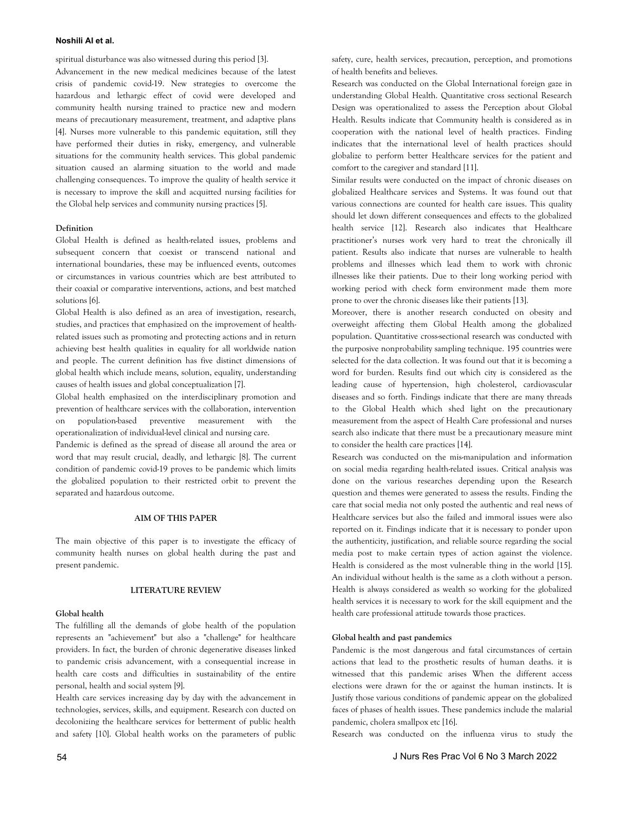spiritual disturbance was also witnessed during this period [3].

Advancement in the new medical medicines because of the latest crisis of pandemic covid-19. New strategies to overcome the hazardous and lethargic effect of covid were developed and community health nursing trained to practice new and modern means of precautionary measurement, treatment, and adaptive plans [4]. Nurses more vulnerable to this pandemic equitation, still they have performed their duties in risky, emergency, and vulnerable situations for the community health services. This global pandemic situation caused an alarming situation to the world and made challenging consequences. To improve the quality of health service it is necessary to improve the skill and acquitted nursing facilities for the Global help services and community nursing practices [5].

# **Definition**

Global Health is defined as health-related issues, problems and subsequent concern that coexist or transcend national and international boundaries, these may be influenced events, outcomes or circumstances in various countries which are best attributed to their coaxial or comparative interventions, actions, and best matched solutions [6].

Global Health is also defined as an area of investigation, research, studies, and practices that emphasized on the improvement of healthrelated issues such as promoting and protecting actions and in return achieving best health qualities in equality for all worldwide nation and people. The current definition has five distinct dimensions of global health which include means, solution, equality, understanding causes of health issues and global conceptualization [7].

Global health emphasized on the interdisciplinary promotion and prevention of healthcare services with the collaboration, intervention on population-based preventive measurement with the operationalization of individual-level clinical and nursing care.

Pandemic is defined as the spread of disease all around the area or word that may result crucial, deadly, and lethargic [8]. The current condition of pandemic covid-19 proves to be pandemic which limits the globalized population to their restricted orbit to prevent the separated and hazardous outcome.

# **AIM OF THIS PAPER**

The main objective of this paper is to investigate the efficacy of community health nurses on global health during the past and present pandemic.

# **LITERATURE REVIEW**

# **Global health**

The fulfilling all the demands of globe health of the population represents an "achievement" but also a "challenge" for healthcare providers. In fact, the burden of chronic degenerative diseases linked to pandemic crisis advancement, with a consequential increase in health care costs and difficulties in sustainability of the entire personal, health and social system [9].

Health care services increasing day by day with the advancement in technologies, services, skills, and equipment. Research con ducted on decolonizing the healthcare services for betterment of public health and safety [10]. Global health works on the parameters of public

safety, cure, health services, precaution, perception, and promotions of health benefits and believes.

Research was conducted on the Global International foreign gaze in understanding Global Health. Quantitative cross sectional Research Design was operationalized to assess the Perception about Global Health. Results indicate that Community health is considered as in cooperation with the national level of health practices. Finding indicates that the international level of health practices should globalize to perform better Healthcare services for the patient and comfort to the caregiver and standard [11].

Similar results were conducted on the impact of chronic diseases on globalized Healthcare services and Systems. It was found out that various connections are counted for health care issues. This quality should let down different consequences and effects to the globalized health service [12]. Research also indicates that Healthcare practitioner's nurses work very hard to treat the chronically ill patient. Results also indicate that nurses are vulnerable to health problems and illnesses which lead them to work with chronic illnesses like their patients. Due to their long working period with working period with check form environment made them more prone to over the chronic diseases like their patients [13].

Moreover, there is another research conducted on obesity and overweight affecting them Global Health among the globalized population. Quantitative cross-sectional research was conducted with the purposive nonprobability sampling technique. 195 countries were selected for the data collection. It was found out that it is becoming a word for burden. Results find out which city is considered as the leading cause of hypertension, high cholesterol, cardiovascular diseases and so forth. Findings indicate that there are many threads to the Global Health which shed light on the precautionary measurement from the aspect of Health Care professional and nurses search also indicate that there must be a precautionary measure mint to consider the health care practices [14].

Research was conducted on the mis-manipulation and information on social media regarding health-related issues. Critical analysis was done on the various researches depending upon the Research question and themes were generated to assess the results. Finding the care that social media not only posted the authentic and real news of Healthcare services but also the failed and immoral issues were also reported on it. Findings indicate that it is necessary to ponder upon the authenticity, justification, and reliable source regarding the social media post to make certain types of action against the violence. Health is considered as the most vulnerable thing in the world [15]. An individual without health is the same as a cloth without a person. Health is always considered as wealth so working for the globalized health services it is necessary to work for the skill equipment and the health care professional attitude towards those practices.

## **Global health and past pandemics**

Pandemic is the most dangerous and fatal circumstances of certain actions that lead to the prosthetic results of human deaths. it is witnessed that this pandemic arises When the different access elections were drawn for the or against the human instincts. It is Justify those various conditions of pandemic appear on the globalized faces of phases of health issues. These pandemics include the malarial pandemic, cholera smallpox etc [16].

Research was conducted on the influenza virus to study the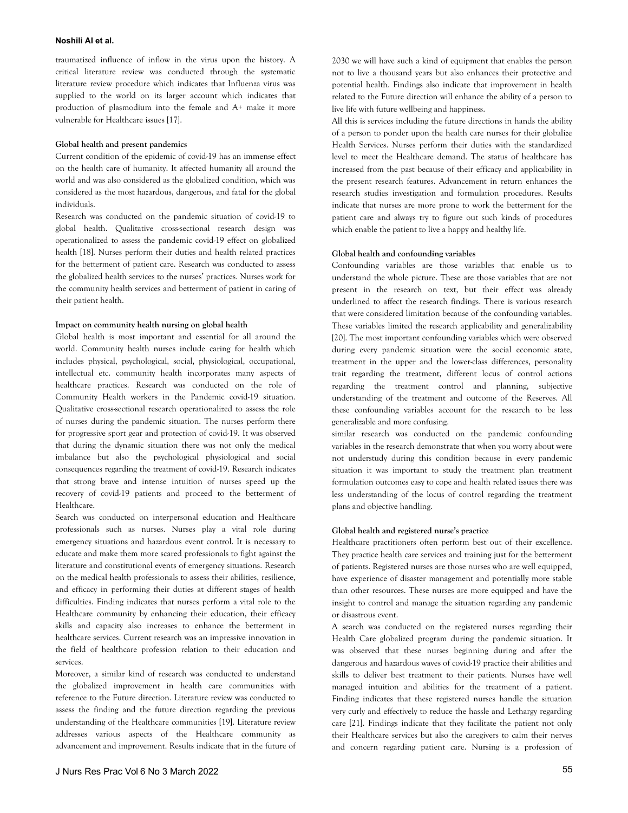traumatized influence of inflow in the virus upon the history. A critical literature review was conducted through the systematic literature review procedure which indicates that Influenza virus was supplied to the world on its larger account which indicates that production of plasmodium into the female and A+ make it more vulnerable for Healthcare issues [17].

### **Global health and present pandemics**

Current condition of the epidemic of covid-19 has an immense effect on the health care of humanity. It affected humanity all around the world and was also considered as the globalized condition, which was considered as the most hazardous, dangerous, and fatal for the global individuals.

Research was conducted on the pandemic situation of covid-19 to global health. Qualitative cross-sectional research design was operationalized to assess the pandemic covid-19 effect on globalized health [18]. Nurses perform their duties and health related practices for the betterment of patient care. Research was conducted to assess the globalized health services to the nurses' practices. Nurses work for the community health services and betterment of patient in caring of their patient health.

#### **Impact on community health nursing on global health**

Global health is most important and essential for all around the world. Community health nurses include caring for health which includes physical, psychological, social, physiological, occupational, intellectual etc. community health incorporates many aspects of healthcare practices. Research was conducted on the role of Community Health workers in the Pandemic covid-19 situation. Qualitative cross-sectional research operationalized to assess the role of nurses during the pandemic situation. The nurses perform there for progressive sport gear and protection of covid-19. It was observed that during the dynamic situation there was not only the medical imbalance but also the psychological physiological and social consequences regarding the treatment of covid-19. Research indicates that strong brave and intense intuition of nurses speed up the recovery of covid-19 patients and proceed to the betterment of Healthcare.

Search was conducted on interpersonal education and Healthcare professionals such as nurses. Nurses play a vital role during emergency situations and hazardous event control. It is necessary to educate and make them more scared professionals to fight against the literature and constitutional events of emergency situations. Research on the medical health professionals to assess their abilities, resilience, and efficacy in performing their duties at different stages of health difficulties. Finding indicates that nurses perform a vital role to the Healthcare community by enhancing their education, their efficacy skills and capacity also increases to enhance the betterment in healthcare services. Current research was an impressive innovation in the field of healthcare profession relation to their education and services.

Moreover, a similar kind of research was conducted to understand the globalized improvement in health care communities with reference to the Future direction. Literature review was conducted to assess the finding and the future direction regarding the previous understanding of the Healthcare communities [19]. Literature review addresses various aspects of the Healthcare community as advancement and improvement. Results indicate that in the future of

2030 we will have such a kind of equipment that enables the person not to live a thousand years but also enhances their protective and potential health. Findings also indicate that improvement in health related to the Future direction will enhance the ability of a person to live life with future wellbeing and happiness.

All this is services including the future directions in hands the ability of a person to ponder upon the health care nurses for their globalize Health Services. Nurses perform their duties with the standardized level to meet the Healthcare demand. The status of healthcare has increased from the past because of their efficacy and applicability in the present research features. Advancement in return enhances the research studies investigation and formulation procedures. Results indicate that nurses are more prone to work the betterment for the patient care and always try to figure out such kinds of procedures which enable the patient to live a happy and healthy life.

## **Global health and confounding variables**

Confounding variables are those variables that enable us to understand the whole picture. These are those variables that are not present in the research on text, but their effect was already underlined to affect the research findings. There is various research that were considered limitation because of the confounding variables. These variables limited the research applicability and generalizability [20]. The most important confounding variables which were observed during every pandemic situation were the social economic state, treatment in the upper and the lower-class differences, personality trait regarding the treatment, different locus of control actions regarding the treatment control and planning, subjective understanding of the treatment and outcome of the Reserves. All these confounding variables account for the research to be less generalizable and more confusing.

similar research was conducted on the pandemic confounding variables in the research demonstrate that when you worry about were not understudy during this condition because in every pandemic situation it was important to study the treatment plan treatment formulation outcomes easy to cope and health related issues there was less understanding of the locus of control regarding the treatment plans and objective handling.

# **Global health and registered nurse's practice**

Healthcare practitioners often perform best out of their excellence. They practice health care services and training just for the betterment of patients. Registered nurses are those nurses who are well equipped, have experience of disaster management and potentially more stable than other resources. These nurses are more equipped and have the insight to control and manage the situation regarding any pandemic or disastrous event.

A search was conducted on the registered nurses regarding their Health Care globalized program during the pandemic situation. It was observed that these nurses beginning during and after the dangerous and hazardous waves of covid-19 practice their abilities and skills to deliver best treatment to their patients. Nurses have well managed intuition and abilities for the treatment of a patient. Finding indicates that these registered nurses handle the situation very curly and effectively to reduce the hassle and Lethargy regarding care [21]. Findings indicate that they facilitate the patient not only their Healthcare services but also the caregivers to calm their nerves and concern regarding patient care. Nursing is a profession of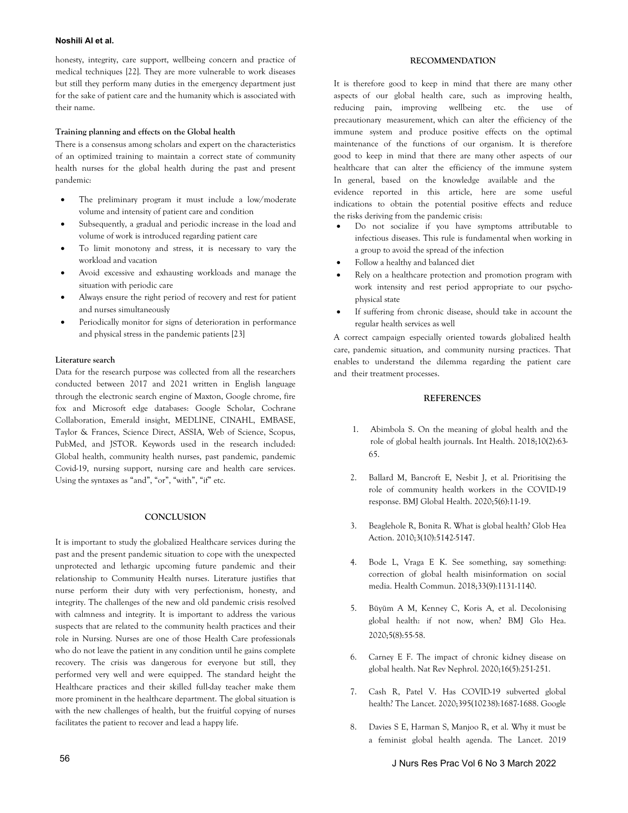honesty, integrity, care support, wellbeing concern and practice of medical techniques [22]. They are more vulnerable to work diseases but still they perform many duties in the emergency department just for the sake of patient care and the humanity which is associated with their name.

#### **Training planning and effects on the Global health**

There is a consensus among scholars and expert on the characteristics of an optimized training to maintain a correct state of community health nurses for the global health during the past and present pandemic:

- The preliminary program it must include a low/moderate volume and intensity of patient care and condition
- Subsequently, a gradual and periodic increase in the load and volume of work is introduced regarding patient care
- To limit monotony and stress, it is necessary to vary the workload and vacation
- Avoid excessive and exhausting workloads and manage the situation with periodic care
- Always ensure the right period of recovery and rest for patient and nurses simultaneously
- Periodically monitor for signs of deterioration in performance and physical stress in the pandemic patients [23]

#### **Literature search**

Data for the research purpose was collected from all the researchers conducted between 2017 and 2021 written in English language through the electronic search engine of Maxton, Google chrome, fire fox and Microsoft edge databases: Google Scholar, Cochrane Collaboration, Emerald insight, MEDLINE, CINAHL, EMBASE, Taylor & Frances, Science Direct, ASSIA, Web of Science, Scopus, PubMed, and JSTOR. Keywords used in the research included: Global health, community health nurses, past pandemic, pandemic Covid-19, nursing support, nursing care and health care services. Using the syntaxes as "and", "or", "with", "if" etc.

#### **CONCLUSION**

It is important to study the globalized Healthcare services during the past and the present pandemic situation to cope with the unexpected unprotected and lethargic upcoming future pandemic and their relationship to Community Health nurses. Literature justifies that nurse perform their duty with very perfectionism, honesty, and integrity. The challenges of the new and old pandemic crisis resolved with calmness and integrity. It is important to address the various suspects that are related to the community health practices and their role in Nursing. Nurses are one of those Health Care professionals who do not leave the patient in any condition until he gains complete recovery. The crisis was dangerous for everyone but still, they performed very well and were equipped. The standard height the Healthcare practices and their skilled full-day teacher make them more prominent in the healthcare department. The global situation is with the new challenges of health, but the fruitful copying of nurses facilitates the patient to recover and lead a happy life.

# **RECOMMENDATION**

It is therefore good to keep in mind that there are many other aspects of our global health care, such as improving health, reducing pain, improving wellbeing etc. the use of precautionary measurement, which can alter the efficiency of the immune system and produce positive effects on the optimal maintenance of the functions of our organism. It is therefore good to keep in mind that there are many other aspects of our healthcare that can alter the efficiency of the immune system In general, based on the knowledge available and the

evidence reported in this article, here are some useful indications to obtain the potential positive effects and reduce the risks deriving from the pandemic crisis:

- Do not socialize if you have symptoms attributable to infectious diseases. This rule is fundamental when working in a group to avoid the spread of the infection
- Follow a healthy and balanced diet
- Rely on a healthcare protection and promotion program with work intensity and rest period appropriate to our psychophysical state
- If suffering from chronic disease, should take in account the regular health services as well

A correct campaign especially oriented towards globalized health care, pandemic situation, and community nursing practices. That enables to understand the dilemma regarding the patient care and their treatment processes.

#### **REFERENCES**

- 1. Abimbola S. [On the meaning of global health and the](https://academic.oup.com/inthealth/article/10/2/63/4924746?login=true) [role of global health journals.](https://academic.oup.com/inthealth/article/10/2/63/4924746?login=true) Int Health. 2018;10(2):63- 65.
- 2. Ballard M, Bancroft E, Nesbit J, et al. [Prioritising the](https://gh.bmj.com/content/5/6/e002550.abstract) [role of community health workers in the COVID-19](https://gh.bmj.com/content/5/6/e002550.abstract) [response.](https://gh.bmj.com/content/5/6/e002550.abstract) BMJ Global Health. 2020;5(6):11-19.
- 3. Beaglehole R, Bonita R. [What is global health?](https://www.ncbi.nlm.nih.gov/pmc/articles/PMC2852240/) Glob Hea Action. 2010;3(10):5142-5147.
- 4. Bode L, Vraga E K. [See something, say something:](https://www.tandfonline.com/doi/abs/10.1080/10410236.2017.1331312) [correction of global health misinformation on social](https://www.tandfonline.com/doi/abs/10.1080/10410236.2017.1331312) [media.](https://www.tandfonline.com/doi/abs/10.1080/10410236.2017.1331312) Health Commun. 2018;33(9):1131-1140.
- 5. [Büyüm A M, K](https://scholar.google.com/scholar?hl=en&as_sdt=0%2C5&q=4.%09Bode%2C+L.%2C+%26+Vraga%2C+E.+K.+%282018%29.+See+something%2C+say+something%3A+correction+of+global+health+misinformation+on+social+media.+Health+communication%2C+33%289%29%2C+1131-1140.+&btnG=)[enney C](https://doi.org/10.1080/10410236.2017.1331312), Koris A, et al. [Decolonising](https://gh.bmj.com/content/5/8/e003394?s=09) [global health: if not now, when?](https://gh.bmj.com/content/5/8/e003394?s=09) BMJ Glo Hea. 2020;5(8):55-58.
- 6. [Carney E F.](https://scholar.google.com/scholar?hl=en&as_sdt=0%2C5&q=5.%09B%C3%BCy%C3%BCm%2C+A.+M.%2C+Kenney%2C+C.%2C+Koris%2C+A.%2C+Mkumba%2C+L.%2C+%26+Raveendran%2C+Y.+%282020%29.+Decolonising+global+health%3A+if+not+now%2C+when%3F+BMJ+Global+Health%2C+5%288%29%2C+e003394.&btnG=) [The impact of chronic kidney disease on](https://www.nature.com/articles/s41581-020-0268-7) [global health.](https://www.nature.com/articles/s41581-020-0268-7) Nat Rev Nephrol. 2020;16(5):251-251.
- 7. [Cash R, Patel](https://scholar.google.com/scholar?hl=en&as_sdt=0%2C5&q=6.%09Carney%2C+E.+F.+%282020%29.+The+impact+of+chronic+kidney+disease+on+global+health.+Nature+Reviews+Nephrology%2C+16%285%29%2C+251-251.&btnG=) [V.](https://doi.org/10.1038/s41581-020-0268-7) [Has COVID-19 subverted global](https://www.thelancet.com/journals/lancet/article/PIIS0140-6736(20)31089-8/fulltext) [health?](https://www.thelancet.com/journals/lancet/article/PIIS0140-6736(20)31089-8/fulltext) The Lancet. 2020;395(10238):1687-1688. Google
- 8. [Davies S E, Har](https://scholar.google.com/scholar?hl=en&as_sdt=0%2C5&q=7.%09Cash+R+and+Patel+V.+Has+COVID-19+subverted+global+health%3F+The+Lancet.+2020%3B395%2810238%29%3A1687-1688.&btnG=)[man S, M](https://doi.org/10.1016/S0140-6736(20)31089-8)anjoo R, et al[. Why it must be](https://www.thelancet.com/journals/lancet/article/PIIS0140-6736(18)32472-3/fulltext) [a feminist global health agenda.](https://www.thelancet.com/journals/lancet/article/PIIS0140-6736(18)32472-3/fulltext) The Lancet. 2019